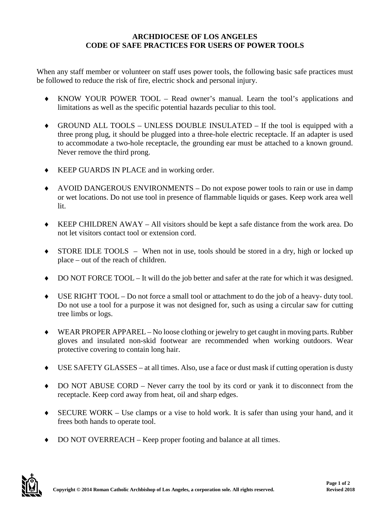## **ARCHDIOCESE OF LOS ANGELES CODE OF SAFE PRACTICES FOR USERS OF POWER TOOLS**

When any staff member or volunteer on staff uses power tools, the following basic safe practices must be followed to reduce the risk of fire, electric shock and personal injury.

- ♦ KNOW YOUR POWER TOOL Read owner's manual. Learn the tool's applications and limitations as well as the specific potential hazards peculiar to this tool.
- ♦ GROUND ALL TOOLS UNLESS DOUBLE INSULATED If the tool is equipped with a three prong plug, it should be plugged into a three-hole electric receptacle. If an adapter is used to accommodate a two-hole receptacle, the grounding ear must be attached to a known ground. Never remove the third prong.
- ♦ KEEP GUARDS IN PLACE and in working order.
- ♦ AVOID DANGEROUS ENVIRONMENTS Do not expose power tools to rain or use in damp or wet locations. Do not use tool in presence of flammable liquids or gases. Keep work area well lit.
- KEEP CHILDREN AWAY All visitors should be kept a safe distance from the work area. Do not let visitors contact tool or extension cord.
- ♦ STORE IDLE TOOLS When not in use, tools should be stored in a dry, high or locked up place – out of the reach of children.
- DO NOT FORCE TOOL It will do the job better and safer at the rate for which it was designed.
- ♦ USE RIGHT TOOL Do not force a small tool or attachment to do the job of a heavy- duty tool. Do not use a tool for a purpose it was not designed for, such as using a circular saw for cutting tree limbs or logs.
- ♦ WEAR PROPER APPAREL No loose clothing or jewelry to get caught in moving parts. Rubber gloves and insulated non-skid footwear are recommended when working outdoors. Wear protective covering to contain long hair.
- USE SAFETY GLASSES at all times. Also, use a face or dust mask if cutting operation is dusty
- ♦ DO NOT ABUSE CORD Never carry the tool by its cord or yank it to disconnect from the receptacle. Keep cord away from heat, oil and sharp edges.
- ♦ SECURE WORK Use clamps or a vise to hold work. It is safer than using your hand, and it frees both hands to operate tool.
- DO NOT OVERREACH Keep proper footing and balance at all times.